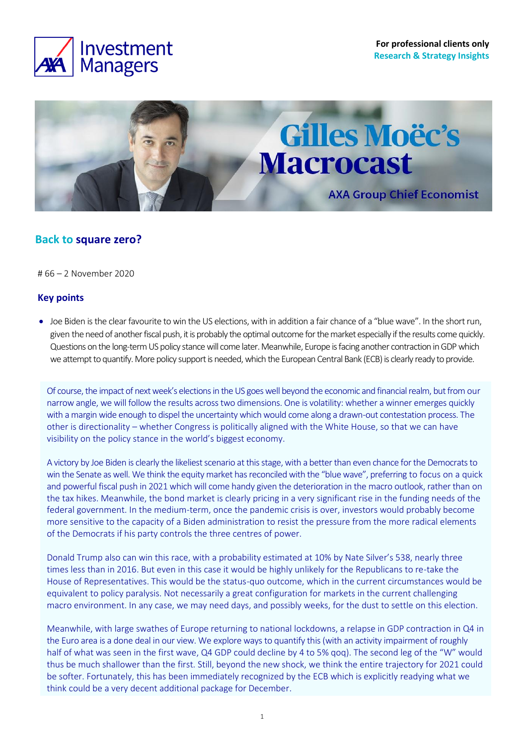



# **Back to square zero?**

# 66 – 2 November 2020

## **Key points**

• Joe Biden is the clear favourite to win the US elections, with in addition a fair chance of a "blue wave". In the short run, given the need of another fiscal push, it is probably the optimal outcome for the market especially if the results come quickly. Questions on the long-term US policy stance will come later. Meanwhile, Europe is facing another contraction in GDP which we attempt to quantify. More policy support is needed, which the European Central Bank (ECB) is clearly ready to provide.

Of course, the impact of next week's elections in the US goes well beyond the economic and financial realm, but from our narrow angle, we will follow the results across two dimensions. One is volatility: whether a winner emerges quickly with a margin wide enough to dispel the uncertainty which would come along a drawn-out contestation process. The other is directionality – whether Congress is politically aligned with the White House, so that we can have visibility on the policy stance in the world's biggest economy.

A victory by Joe Biden is clearly the likeliest scenario at this stage, with a better than even chance for the Democrats to win the Senate as well. We think the equity market has reconciled with the "blue wave", preferring to focus on a quick and powerful fiscal push in 2021 which will come handy given the deterioration in the macro outlook, rather than on the tax hikes. Meanwhile, the bond market is clearly pricing in a very significant rise in the funding needs of the federal government. In the medium-term, once the pandemic crisis is over, investors would probably become more sensitive to the capacity of a Biden administration to resist the pressure from the more radical elements of the Democrats if his party controls the three centres of power.

Donald Trump also can win this race, with a probability estimated at 10% by Nate Silver's 538, nearly three times less than in 2016. But even in this case it would be highly unlikely for the Republicans to re-take the House of Representatives. This would be the status-quo outcome, which in the current circumstances would be equivalent to policy paralysis. Not necessarily a great configuration for markets in the current challenging macro environment. In any case, we may need days, and possibly weeks, for the dust to settle on this election.

Meanwhile, with large swathes of Europe returning to national lockdowns, a relapse in GDP contraction in Q4 in the Euro area is a done deal in our view. We explore ways to quantify this (with an activity impairment of roughly half of what was seen in the first wave, Q4 GDP could decline by 4 to 5% gog). The second leg of the "W" would thus be much shallower than the first. Still, beyond the new shock, we think the entire trajectory for 2021 could be softer. Fortunately, this has been immediately recognized by the ECB which is explicitly readying what we think could be a very decent additional package for December.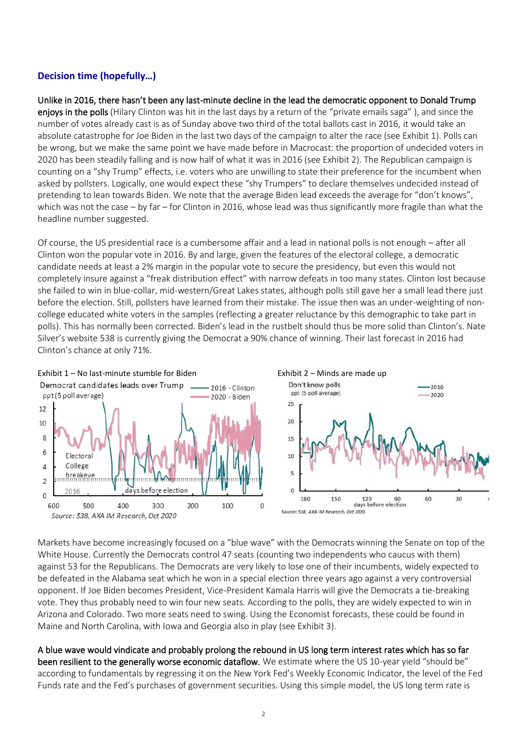# **Decision time (hopefully…)**

Unlike in 2016, there hasn't been any last-minute decline in the lead the democratic opponent to Donald Trump enjoys in the polls (Hilary Clinton was hit in the last days by a return of the "private emails saga"), and since the number of votes already cast is as of Sunday above two third of the total ballots cast in 2016, it would take an absolute catastrophe for Joe Biden in the last two days of the campaign to alter the race (see Exhibit 1). Polls can be wrong, but we make the same point we have made before in Macrocast: the proportion of undecided voters in 2020 has been steadily falling and is now half of what it was in 2016 (see Exhibit 2). The Republican campaign is counting on a "shy Trump" effects, i.e. voters who are unwilling to state their preference for the incumbent when asked by pollsters. Logically, one would expect these "shy Trumpers" to declare themselves undecided instead of pretending to lean towards Biden. We note that the average Biden lead exceeds the average for "don't knows", which was not the case – by far – for Clinton in 2016, whose lead was thus significantly more fragile than what the headline number suggested.

Of course, the US presidential race is a cumbersome affair and a lead in national polls is not enough – after all Clinton won the popular vote in 2016. By and large, given the features of the electoral college, a democratic candidate needs at least a 2% margin in the popular vote to secure the presidency, but even this would not completely insure against a "freak distribution effect" with narrow defeats in too many states. Clinton lost because she failed to win in blue-collar, mid-western/Great Lakes states, although polls still gave her a small lead there just before the election. Still, pollsters have learned from their mistake. The issue then was an under-weighting of noncollege educated white voters in the samples (reflecting a greater reluctance by this demographic to take part in polls). This has normally been corrected. Biden's lead in the rustbelt should thus be more solid than Clinton's. Nate Silver's website 538 is currently giving the Democrat a 90% chance of winning. Their last forecast in 2016 had Clinton's chance at only 71%.



Markets have become increasingly focused on a "blue wave" with the Democrats winning the Senate on top of the White House. Currently the Democrats control 47 seats (counting two independents who caucus with them) against 53 for the Republicans. The Democrats are very likely to lose one of their incumbents, widely expected to be defeated in the Alabama seat which he won in a special election three years ago against a very controversial opponent. If Joe Biden becomes President, Vice-President Kamala Harris will give the Democrats a tie-breaking vote. They thus probably need to win four new seats. According to the polls, they are widely expected to win in Arizona and Colorado. Two more seats need to swing. Using the Economist forecasts, these could be found in Maine and North Carolina, with Iowa and Georgia also in play (see Exhibit 3).

A blue wave would vindicate and probably prolong the rebound in US long term interest rates which has so far been resilient to the generally worse economic dataflow. We estimate where the US 10-year yield "should be" according to fundamentals by regressing it on the New York Fed's Weekly Economic Indicator, the level of the Fed Funds rate and the Fed's purchases of government securities. Using this simple model, the US long term rate is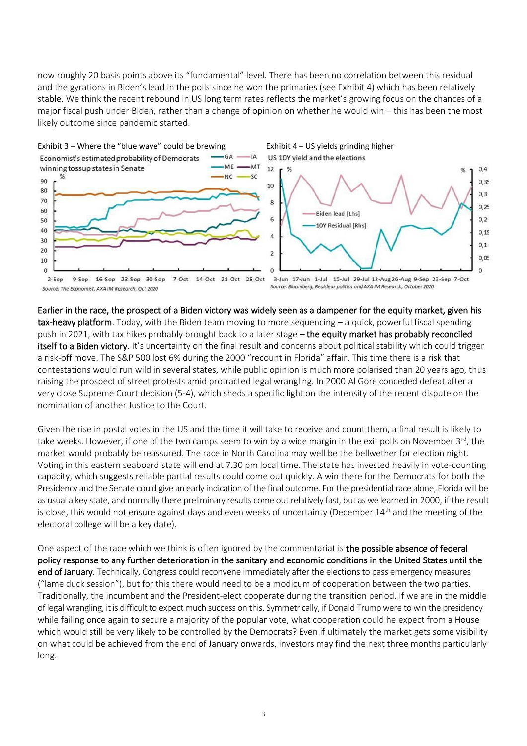now roughly 20 basis points above its "fundamental" level. There has been no correlation between this residual and the gyrations in Biden's lead in the polls since he won the primaries (see Exhibit 4) which has been relatively stable. We think the recent rebound in US long term rates reflects the market's growing focus on the chances of a major fiscal push under Biden, rather than a change of opinion on whether he would win – this has been the most likely outcome since pandemic started.



Earlier in the race, the prospect of a Biden victory was widely seen as a dampener for the equity market, given his tax-heavy platform. Today, with the Biden team moving to more sequencing – a quick, powerful fiscal spending push in 2021, with tax hikes probably brought back to a later stage - the equity market has probably reconciled itself to a Biden victory. It's uncertainty on the final result and concerns about political stability which could trigger a risk-off move. The S&P 500 lost 6% during the 2000 "recount in Florida" affair. This time there is a risk that contestations would run wild in several states, while public opinion is much more polarised than 20 years ago, thus raising the prospect of street protests amid protracted legal wrangling. In 2000 Al Gore conceded defeat after a very close Supreme Court decision (5-4), which sheds a specific light on the intensity of the recent dispute on the nomination of another Justice to the Court.

Given the rise in postal votes in the US and the time it will take to receive and count them, a final result is likely to take weeks. However, if one of the two camps seem to win by a wide margin in the exit polls on November 3<sup>rd</sup>, the market would probably be reassured. The race in North Carolina may well be the bellwether for election night. Voting in this eastern seaboard state will end at 7.30 pm local time. The state has invested heavily in vote-counting capacity, which suggests reliable partial results could come out quickly. A win there for the Democrats for both the Presidency and the Senate could give an early indication of the final outcome. For the presidential race alone, Florida will be as usual a key state, and normally there preliminary results come out relatively fast, but as we learned in 2000, if the result is close, this would not ensure against days and even weeks of uncertainty (December 14<sup>th</sup> and the meeting of the electoral college will be a key date).

One aspect of the race which we think is often ignored by the commentariat is the possible absence of federal policy response to any further deterioration in the sanitary and economic conditions in the United States until the end of January. Technically, Congress could reconvene immediately after the elections to pass emergency measures ("lame duck session"), but for this there would need to be a modicum of cooperation between the two parties. Traditionally, the incumbent and the President-elect cooperate during the transition period. If we are in the middle of legal wrangling, it is difficult to expect much success on this. Symmetrically, if Donald Trump were to win the presidency while failing once again to secure a majority of the popular vote, what cooperation could he expect from a House which would still be very likely to be controlled by the Democrats? Even if ultimately the market gets some visibility on what could be achieved from the end of January onwards, investors may find the next three months particularly long.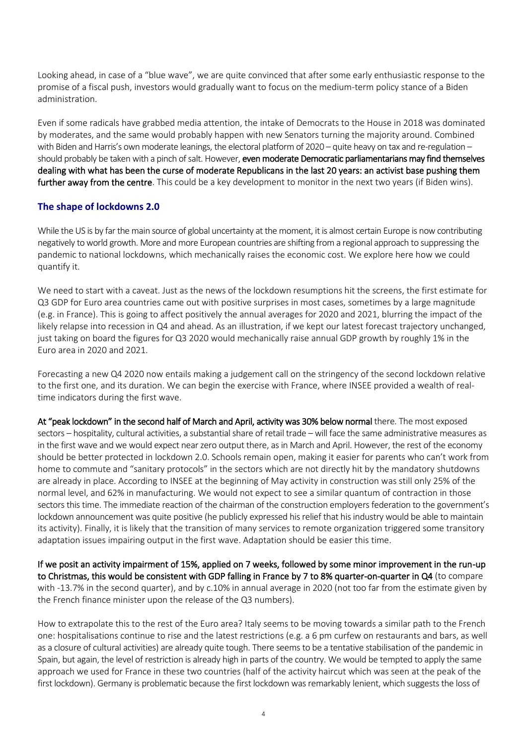Looking ahead, in case of a "blue wave", we are quite convinced that after some early enthusiastic response to the promise of a fiscal push, investors would gradually want to focus on the medium-term policy stance of a Biden administration.

Even if some radicals have grabbed media attention, the intake of Democrats to the House in 2018 was dominated by moderates, and the same would probably happen with new Senators turning the majority around. Combined with Biden and Harris's own moderate leanings, the electoral platform of 2020 – quite heavy on tax and re-regulation – should probably be taken with a pinch of salt. However, even moderate Democratic parliamentarians may find themselves dealing with what has been the curse of moderate Republicans in the last 20 years: an activist base pushing them further away from the centre. This could be a key development to monitor in the next two years (if Biden wins).

#### **The shape of lockdowns 2.0**

While the US is by far the main source of global uncertainty at the moment, it is almost certain Europe is now contributing negatively to world growth. More and more European countries are shifting from a regional approach to suppressing the pandemic to national lockdowns, which mechanically raises the economic cost. We explore here how we could quantify it.

We need to start with a caveat. Just as the news of the lockdown resumptions hit the screens, the first estimate for Q3 GDP for Euro area countries came out with positive surprises in most cases, sometimes by a large magnitude (e.g. in France). This is going to affect positively the annual averages for 2020 and 2021, blurring the impact of the likely relapse into recession in Q4 and ahead. As an illustration, if we kept our latest forecast trajectory unchanged, just taking on board the figures for Q3 2020 would mechanically raise annual GDP growth by roughly 1% in the Euro area in 2020 and 2021.

Forecasting a new Q4 2020 now entails making a judgement call on the stringency of the second lockdown relative to the first one, and its duration. We can begin the exercise with France, where INSEE provided a wealth of realtime indicators during the first wave.

At "peak lockdown" in the second half of March and April, activity was 30% below normal there. The most exposed sectors – hospitality, cultural activities, a substantial share of retail trade – will face the same administrative measures as in the first wave and we would expect near zero output there, as in March and April. However, the rest of the economy should be better protected in lockdown 2.0. Schools remain open, making it easier for parents who can't work from home to commute and "sanitary protocols" in the sectors which are not directly hit by the mandatory shutdowns are already in place. According to INSEE at the beginning of May activity in construction was still only 25% of the normal level, and 62% in manufacturing. We would not expect to see a similar quantum of contraction in those sectors this time. The immediate reaction of the chairman of the construction employers federation to the government's lockdown announcement was quite positive (he publicly expressed his relief that his industry would be able to maintain its activity). Finally, it is likely that the transition of many services to remote organization triggered some transitory adaptation issues impairing output in the first wave. Adaptation should be easier this time.

If we posit an activity impairment of 15%, applied on 7 weeks, followed by some minor improvement in the run-up to Christmas, this would be consistent with GDP falling in France by 7 to 8% quarter-on-quarter in Q4 (to compare with -13.7% in the second quarter), and by c.10% in annual average in 2020 (not too far from the estimate given by the French finance minister upon the release of the Q3 numbers).

How to extrapolate this to the rest of the Euro area? Italy seems to be moving towards a similar path to the French one: hospitalisations continue to rise and the latest restrictions (e.g. a 6 pm curfew on restaurants and bars, as well as a closure of cultural activities) are already quite tough. There seems to be a tentative stabilisation of the pandemic in Spain, but again, the level of restriction is already high in parts of the country. We would be tempted to apply the same approach we used for France in these two countries (half of the activity haircut which was seen at the peak of the first lockdown). Germany is problematic because the first lockdown was remarkably lenient, which suggests the loss of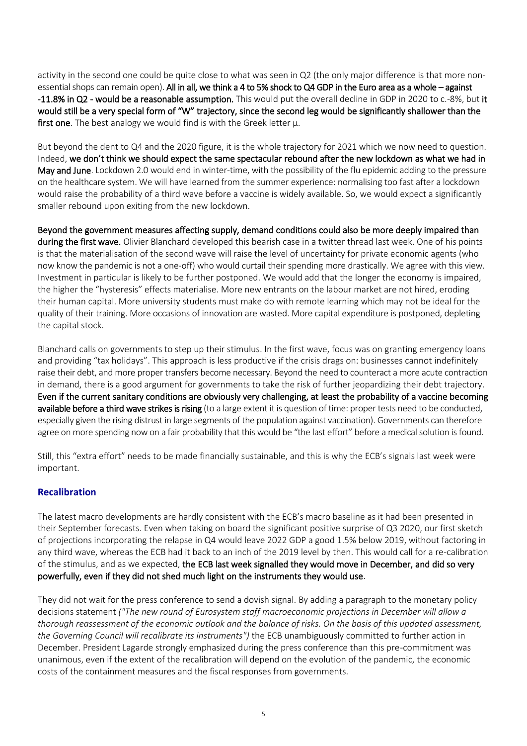activity in the second one could be quite close to what was seen in Q2 (the only major difference is that more nonessential shops can remain open). All in all, we think a 4 to 5% shock to Q4 GDP in the Euro area as a whole – against -11.8% in Q2 - would be a reasonable assumption. This would put the overall decline in GDP in 2020 to c.-8%, but it would still be a very special form of "W" trajectory, since the second leg would be significantly shallower than the first one. The best analogy we would find is with the Greek letter  $\mu$ .

But beyond the dent to Q4 and the 2020 figure, it is the whole trajectory for 2021 which we now need to question. Indeed, we don't think we should expect the same spectacular rebound after the new lockdown as what we had in May and June. Lockdown 2.0 would end in winter-time, with the possibility of the flu epidemic adding to the pressure on the healthcare system. We will have learned from the summer experience: normalising too fast after a lockdown would raise the probability of a third wave before a vaccine is widely available. So, we would expect a significantly smaller rebound upon exiting from the new lockdown.

Beyond the government measures affecting supply, demand conditions could also be more deeply impaired than during the first wave. Olivier Blanchard developed this bearish case in a twitter thread last week. One of his points is that the materialisation of the second wave will raise the level of uncertainty for private economic agents (who now know the pandemic is not a one-off) who would curtail their spending more drastically. We agree with this view. Investment in particular is likely to be further postponed. We would add that the longer the economy is impaired, the higher the "hysteresis" effects materialise. More new entrants on the labour market are not hired, eroding their human capital. More university students must make do with remote learning which may not be ideal for the quality of their training. More occasions of innovation are wasted. More capital expenditure is postponed, depleting the capital stock.

Blanchard calls on governments to step up their stimulus. In the first wave, focus was on granting emergency loans and providing "tax holidays". This approach is less productive if the crisis drags on: businesses cannot indefinitely raise their debt, and more proper transfers become necessary. Beyond the need to counteract a more acute contraction in demand, there is a good argument for governments to take the risk of further jeopardizing their debt trajectory. Even if the current sanitary conditions are obviously very challenging, at least the probability of a vaccine becoming available before a third wave strikes is rising (to a large extent it is question of time: proper tests need to be conducted, especially given the rising distrust in large segments of the population against vaccination). Governments can therefore agree on more spending now on a fair probability that this would be "the last effort" before a medical solution is found.

Still, this "extra effort" needs to be made financially sustainable, and this is why the ECB's signals last week were important.

## **Recalibration**

The latest macro developments are hardly consistent with the ECB's macro baseline as it had been presented in their September forecasts. Even when taking on board the significant positive surprise of Q3 2020, our first sketch of projections incorporating the relapse in Q4 would leave 2022 GDP a good 1.5% below 2019, without factoring in any third wave, whereas the ECB had it back to an inch of the 2019 level by then. This would call for a re-calibration of the stimulus, and as we expected, the ECB last week signalled they would move in December, and did so very powerfully, even if they did not shed much light on the instruments they would use.

They did not wait for the press conference to send a dovish signal. By adding a paragraph to the monetary policy decisions statement *("The new round of Eurosystem staff macroeconomic projections in December will allow a thorough reassessment of the economic outlook and the balance of risks. On the basis of this updated assessment, the Governing Council will recalibrate its instruments")* the ECB unambiguously committed to further action in December. President Lagarde strongly emphasized during the press conference than this pre-commitment was unanimous, even if the extent of the recalibration will depend on the evolution of the pandemic, the economic costs of the containment measures and the fiscal responses from governments.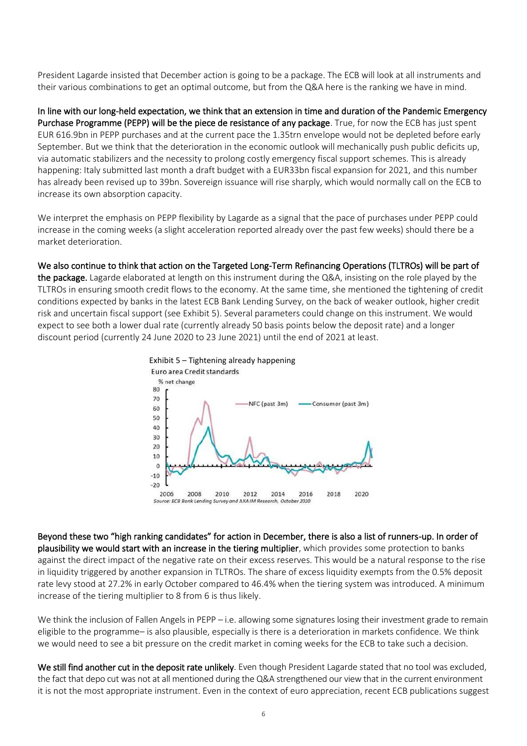President Lagarde insisted that December action is going to be a package. The ECB will look at all instruments and their various combinations to get an optimal outcome, but from the Q&A here is the ranking we have in mind.

In line with our long-held expectation, we think that an extension in time and duration of the Pandemic Emergency Purchase Programme (PEPP) will be the piece de resistance of any package. True, for now the ECB has just spent EUR 616.9bn in PEPP purchases and at the current pace the 1.35trn envelope would not be depleted before early September. But we think that the deterioration in the economic outlook will mechanically push public deficits up, via automatic stabilizers and the necessity to prolong costly emergency fiscal support schemes. This is already happening: Italy submitted last month a draft budget with a EUR33bn fiscal expansion for 2021, and this number has already been revised up to 39bn. Sovereign issuance will rise sharply, which would normally call on the ECB to increase its own absorption capacity.

We interpret the emphasis on PEPP flexibility by Lagarde as a signal that the pace of purchases under PEPP could increase in the coming weeks (a slight acceleration reported already over the past few weeks) should there be a market deterioration.

We also continue to think that action on the Targeted Long-Term Refinancing Operations (TLTROs) will be part of the package. Lagarde elaborated at length on this instrument during the Q&A, insisting on the role played by the TLTROs in ensuring smooth credit flows to the economy. At the same time, she mentioned the tightening of credit conditions expected by banks in the latest ECB Bank Lending Survey, on the back of weaker outlook, higher credit risk and uncertain fiscal support (see Exhibit 5). Several parameters could change on this instrument. We would expect to see both a lower dual rate (currently already 50 basis points below the deposit rate) and a longer discount period (currently 24 June 2020 to 23 June 2021) until the end of 2021 at least.



Beyond these two "high ranking candidates" for action in December, there is also a list of runners-up. In order of plausibility we would start with an increase in the tiering multiplier, which provides some protection to banks against the direct impact of the negative rate on their excess reserves. This would be a natural response to the rise in liquidity triggered by another expansion in TLTROs. The share of excess liquidity exempts from the 0.5% deposit rate levy stood at 27.2% in early October compared to 46.4% when the tiering system was introduced. A minimum increase of the tiering multiplier to 8 from 6 is thus likely.

We think the inclusion of Fallen Angels in PEPP – i.e. allowing some signatures losing their investment grade to remain eligible to the programme– is also plausible, especially is there is a deterioration in markets confidence. We think we would need to see a bit pressure on the credit market in coming weeks for the ECB to take such a decision.

We still find another cut in the deposit rate unlikely. Even though President Lagarde stated that no tool was excluded, the fact that depo cut was not at all mentioned during the Q&A strengthened our view that in the current environment it is not the most appropriate instrument. Even in the context of euro appreciation, recent ECB publications suggest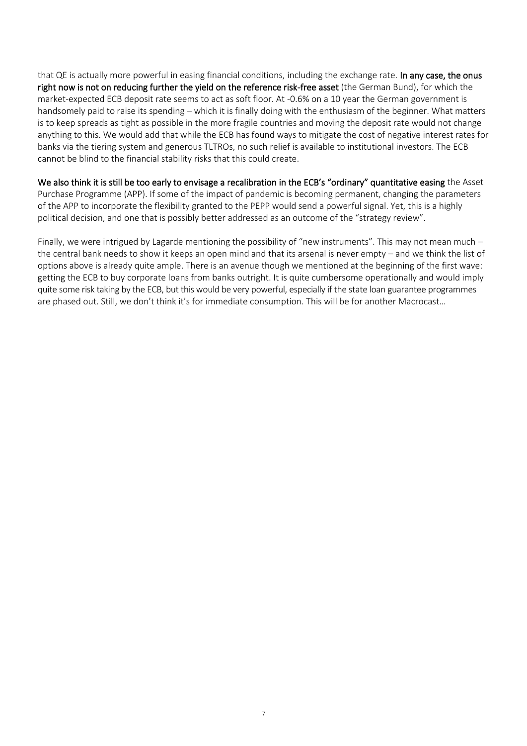that QE is actually more powerful in easing financial conditions, including the exchange rate. In any case, the onus right now is not on reducing further the yield on the reference risk-free asset (the German Bund), for which the market-expected ECB deposit rate seems to act as soft floor. At -0.6% on a 10 year the German government is handsomely paid to raise its spending – which it is finally doing with the enthusiasm of the beginner. What matters is to keep spreads as tight as possible in the more fragile countries and moving the deposit rate would not change anything to this. We would add that while the ECB has found ways to mitigate the cost of negative interest rates for banks via the tiering system and generous TLTROs, no such relief is available to institutional investors. The ECB cannot be blind to the financial stability risks that this could create.

We also think it is still be too early to envisage a recalibration in the ECB's "ordinary" quantitative easing the Asset Purchase Programme (APP). If some of the impact of pandemic is becoming permanent, changing the parameters of the APP to incorporate the flexibility granted to the PEPP would send a powerful signal. Yet, this is a highly political decision, and one that is possibly better addressed as an outcome of the "strategy review".

Finally, we were intrigued by Lagarde mentioning the possibility of "new instruments". This may not mean much – the central bank needs to show it keeps an open mind and that its arsenal is never empty – and we think the list of options above is already quite ample. There is an avenue though we mentioned at the beginning of the first wave: getting the ECB to buy corporate loans from banks outright. It is quite cumbersome operationally and would imply quite some risk taking by the ECB, but this would be very powerful, especially if the state loan guarantee programmes are phased out. Still, we don't think it's for immediate consumption. This will be for another Macrocast…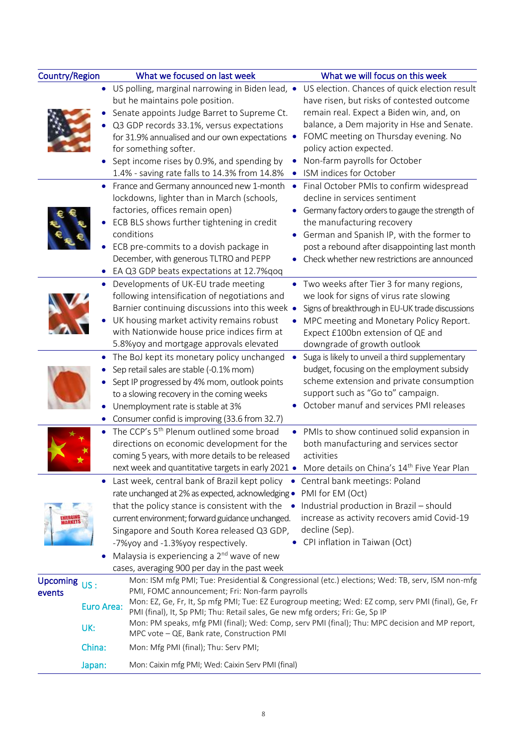| Country/Region             |            | What we focused on last week                                                                               | What we will focus on this week                                                                    |
|----------------------------|------------|------------------------------------------------------------------------------------------------------------|----------------------------------------------------------------------------------------------------|
|                            |            | • US polling, marginal narrowing in Biden lead, •                                                          | US election. Chances of quick election result                                                      |
|                            |            | but he maintains pole position.                                                                            | have risen, but risks of contested outcome                                                         |
|                            |            | Senate appoints Judge Barret to Supreme Ct.                                                                | remain real. Expect a Biden win, and, on                                                           |
|                            |            | Q3 GDP records 33.1%, versus expectations                                                                  | balance, a Dem majority in Hse and Senate.                                                         |
|                            |            | for 31.9% annualised and our own expectations •                                                            | FOMC meeting on Thursday evening. No                                                               |
|                            |            | for something softer.                                                                                      | policy action expected.                                                                            |
|                            |            | Sept income rises by 0.9%, and spending by                                                                 | Non-farm payrolls for October                                                                      |
|                            |            | 1.4% - saving rate falls to 14.3% from 14.8%                                                               | ISM indices for October                                                                            |
|                            |            | • France and Germany announced new 1-month<br>$\bullet$                                                    | Final October PMIs to confirm widespread                                                           |
|                            |            | lockdowns, lighter than in March (schools,                                                                 | decline in services sentiment                                                                      |
|                            |            | factories, offices remain open)                                                                            | • Germany factory orders to gauge the strength of                                                  |
|                            |            | ECB BLS shows further tightening in credit                                                                 | the manufacturing recovery                                                                         |
|                            |            | conditions                                                                                                 | German and Spanish IP, with the former to                                                          |
|                            |            | ECB pre-commits to a dovish package in                                                                     | post a rebound after disappointing last month                                                      |
|                            |            | December, with generous TLTRO and PEPP                                                                     | Check whether new restrictions are announced                                                       |
|                            |            | EA Q3 GDP beats expectations at 12.7% qoq                                                                  |                                                                                                    |
|                            |            | Developments of UK-EU trade meeting<br>٠                                                                   | Two weeks after Tier 3 for many regions,                                                           |
|                            |            | following intensification of negotiations and                                                              | we look for signs of virus rate slowing                                                            |
|                            |            | Barnier continuing discussions into this week .                                                            | Signs of breakthrough in EU-UK trade discussions                                                   |
|                            |            | UK housing market activity remains robust                                                                  |                                                                                                    |
|                            |            | with Nationwide house price indices firm at                                                                | MPC meeting and Monetary Policy Report.                                                            |
|                            |            |                                                                                                            | Expect £100bn extension of QE and                                                                  |
|                            |            | 5.8%yoy and mortgage approvals elevated                                                                    | downgrade of growth outlook                                                                        |
|                            | $\bullet$  | The BoJ kept its monetary policy unchanged<br>$\bullet$                                                    | Suga is likely to unveil a third supplementary                                                     |
|                            |            | Sep retail sales are stable (-0.1% mom)                                                                    | budget, focusing on the employment subsidy                                                         |
|                            |            | Sept IP progressed by 4% mom, outlook points                                                               | scheme extension and private consumption                                                           |
|                            |            | to a slowing recovery in the coming weeks                                                                  | support such as "Go to" campaign.                                                                  |
|                            |            | Unemployment rate is stable at 3%                                                                          | October manuf and services PMI releases                                                            |
|                            |            | Consumer confid is improving (33.6 from 32.7)                                                              |                                                                                                    |
|                            | $\bullet$  | The CCP's 5 <sup>th</sup> Plenum outlined some broad<br>$\bullet$                                          | PMIs to show continued solid expansion in                                                          |
|                            |            | directions on economic development for the                                                                 | both manufacturing and services sector                                                             |
|                            |            | coming 5 years, with more details to be released                                                           | activities                                                                                         |
|                            |            | next week and quantitative targets in early 2021 • More details on China's 14 <sup>th</sup> Five Year Plan |                                                                                                    |
|                            |            | Last week, central bank of Brazil kept policy • Central bank meetings: Poland                              |                                                                                                    |
|                            |            | rate unchanged at 2% as expected, acknowledging . PMI for EM (Oct)                                         |                                                                                                    |
|                            |            | that the policy stance is consistent with the • Industrial production in Brazil - should                   |                                                                                                    |
|                            |            | current environment; forward guidance unchanged.                                                           | increase as activity recovers amid Covid-19                                                        |
|                            |            | Singapore and South Korea released Q3 GDP,                                                                 | decline (Sep).                                                                                     |
|                            |            | -7%yoy and -1.3%yoy respectively.                                                                          | CPI inflation in Taiwan (Oct)                                                                      |
|                            |            | Malaysia is experiencing a 2 <sup>nd</sup> wave of new                                                     |                                                                                                    |
|                            |            | cases, averaging 900 per day in the past week                                                              |                                                                                                    |
| Upcoming $\overline{US}$ : |            |                                                                                                            | Mon: ISM mfg PMI; Tue: Presidential & Congressional (etc.) elections; Wed: TB, serv, ISM non-mfg   |
| events                     |            | PMI, FOMC announcement; Fri: Non-farm payrolls                                                             |                                                                                                    |
|                            | Euro Area: |                                                                                                            | Mon: EZ, Ge, Fr, It, Sp mfg PMI; Tue: EZ Eurogroup meeting; Wed: EZ comp, serv PMI (final), Ge, Fr |
|                            |            | PMI (final), It, Sp PMI; Thu: Retail sales, Ge new mfg orders; Fri: Ge, Sp IP                              |                                                                                                    |
|                            | UK:        | MPC vote - QE, Bank rate, Construction PMI                                                                 | Mon: PM speaks, mfg PMI (final); Wed: Comp, serv PMI (final); Thu: MPC decision and MP report,     |
|                            |            |                                                                                                            |                                                                                                    |
|                            | China:     | Mon: Mfg PMI (final); Thu: Serv PMI;                                                                       |                                                                                                    |
|                            | Japan:     | Mon: Caixin mfg PMI; Wed: Caixin Serv PMI (final)                                                          |                                                                                                    |